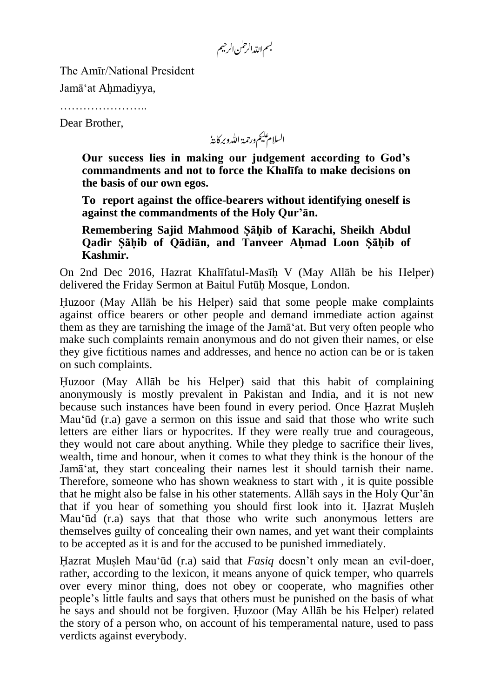بسم الله الرحمٰن الرحيم

The Amīr/National President

Jamā'at Ahmadiyya,

……………………

Dear Brother,

السلام عليم ورحمة الله وبركايةُ

**Our success lies in making our judgement according to God's commandments and not to force the Khalīfa to make decisions on the basis of our own egos.**

**To report against the office-bearers without identifying oneself is against the commandments of the Holy Qur'ān.**

**Remembering Sajid Mahmood Sahib of Karachi, Sheikh Abdul Qadir Sahib of Qādiān, and Tanveer Ahmad Loon Sahib of Kashmir.**

On 2nd Dec 2016, Hazrat Khalīfatul-Masīh V (May Allāh be his Helper) delivered the Friday Sermon at Baitul Futūh Mosque, London.

Huzoor (May Allāh be his Helper) said that some people make complaints against office bearers or other people and demand immediate action against them as they are tarnishing the image of the Jamā'at. But very often people who make such complaints remain anonymous and do not given their names, or else they give fictitious names and addresses, and hence no action can be or is taken on such complaints.

Huzoor (May Allāh be his Helper) said that this habit of complaining anonymously is mostly prevalent in Pakistan and India, and it is not new because such instances have been found in every period. Once Hazrat Musleh Mau'ūd (r.a) gave a sermon on this issue and said that those who write such letters are either liars or hypocrites. If they were really true and courageous, they would not care about anything. While they pledge to sacrifice their lives, wealth, time and honour, when it comes to what they think is the honour of the Jamā'at, they start concealing their names lest it should tarnish their name. Therefore, someone who has shown weakness to start with , it is quite possible that he might also be false in his other statements. Allāh says in the Holy Qur'ān that if you hear of something you should first look into it. Hazrat Musleh Mau'ūd (r.a) says that that those who write such anonymous letters are themselves guilty of concealing their own names, and yet want their complaints to be accepted as it is and for the accused to be punished immediately.

Hazrat Musleh Mau'ūd (r.a) said that *Fasiq* doesn't only mean an evil-doer, rather, according to the lexicon, it means anyone of quick temper, who quarrels over every minor thing, does not obey or cooperate, who magnifies other people's little faults and says that others must be punished on the basis of what he says and should not be forgiven. Huzoor (May Allāh be his Helper) related the story of a person who, on account of his temperamental nature, used to pass verdicts against everybody.